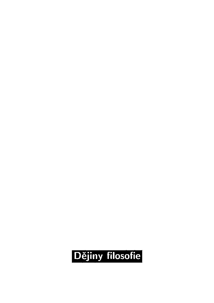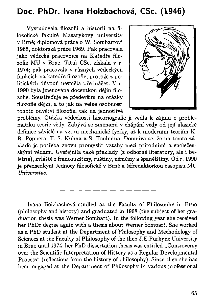## Doc. PhDr. Ivana Holzbachová, CSc. (1946)

Vystudovala filozofii a historii na filozofické fakultě Masarykovy univerzity v Brně; diplomová práce o W. Sombartovi 1968, doktorská práce 1969. Pak pracovala jako vědecká pracovnice na Katedře filozofie MU v Brně. Titul CSc. získala v r. 1974; pak pracovala v různých vědeckých funkcích na katedře filozofie, protože z politických důvodů nesměla přednášet. V r. 1990 byla jmenována docentkou dějin filozofie. Soustřeďuje se především na otázky filozofie dějin, a to jak na velké osobnosti tohoto odvětví filozofie, tak na jednotlivé



problémy. Otázka vědeckosti historiografie ji vedla k zájmu o problematiku teorie vědy. Zabývá se změnami v chápání vědy od její klasické definice závislé na vzoru mechanické fyziky, až k moderním teoriím K . R. Poppera, T. S. Kuhna a S. Toulmina. Domnívá se, že na tomto základě je potřeba znovu promyslit vztahy mezi přírodními a společenskými vědami. Uveřejnila také překlady (z odborné literatury, ale i beletrie), zvláště z francouzštiny, ruštiny, němčiny a španělštiny. Od r. 1990 je předsedkyní Jednoty filosofické v Brně a šéfredaktorkou časopisu MU *Universitas.* 

Ivana Holzbachovâ studied at the Faculty of Philosophy in Brno (philosophy and history) and graduated in 1968 (the subject of her graduation thesis was Werner Sombart). In the following year she received her PhDr degree again with a thesis about Werner Sombart. She worked as a PhD student at the Department of Philosophy and Methodology of Sciences at the Faculty of Philosophy of the then J.E.Purkyne University in Brno until 1974; her PhD dissertation thesis was entitled ..Controversy over the Scientific Interpretation of History as a Regular Developmental Process" (reflections from the history of philosophy). Since then she has been engaged at the Department of Philosophy in various professional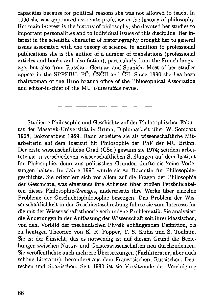capacities because for political reasons she was not allowed to teach. In 1990 she was appointed associate professor in the history of philosophy. Her main interest is the history of philosophy; she devoted her studies to important personalities and to individual issues of this discipline. Her interest in the scientific character of historiography brought her to general issues associated with the theory of science. In addition to professional publications she is the author of a number of translations (professional articles and books and also fiction), particularly from the French language, but also from Russian, German and Spanish. Most of her studies appear in the SPFFBU, FČ, ČSČH and ČH. Since 1990 she has been chairwoman of the Brno branch office of the Philosophical Association and editor-in-chief of the MU *Universitas* revue.

Studierte Philosophie und Geschichte auf der Philosophischen Fakultät der Masaryk-Universität in Brünn; Diplomarbeit über W. Sombart 1968, Doktorarbeit 1969. Dann arbeitete sie als wissenschaftliche Mitarbeiterin auf dem Institut für Philosophie der PhF der MU Brünn. Der erste wissenschaftliche Grad (CSc.) gewann sie 1974; seitdem arbeitete sie in verschiedenen wissenschaftlichen Stellungen auf dem Institut für Philosophie, denn aus politischen Gründen dürfte sie keine Vorlesungen halten. Im Jahre 1990 wurde sie zu Dozentin für Philosophiegeschichte. Sie orientiert sich vor allem auf die Fragen der Philosophie der Geschichte, was einerseits ihre Arbeiten über großen Persönlichkeiten dieses Philosophie-Zweiges, andererseits ihre Werke über einzelne Probleme der Geschichtsphilosophie bezeugen. Das Problem der Wissenschaftlichkeit in der Geschichtsschreibung führte sie zum Interesse für die mit der Wissenschaftstheorie verbundene Problematik. Sie analysiert die Änderungen in der Auffassung der Wissenschaft seit ihrer klassischen, von dem Vorbild der mechanischen Physik abhängenden Definition, bis zu heutigen Theorien von K . R. Popper, T. S. Kuhn und S. Toulmin. Sie ist der Einsicht, das es notwendig ist auf diesem Grund die Beziehungen zwischen Natur- und Geisteswissenschaften neu durchzudenken. Sie veröffentlichte auch mehrere Übersetzungen (Fachliteratur, aber auch schöne Literatur), besonders aus dem Französischen, Russischen, Deutschen und Spanischen. Seit 1990 ist sie Vorsitzende der Vereinigung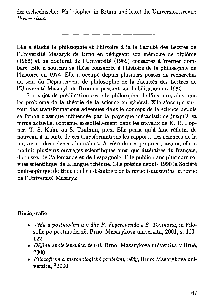der tschechischen Philosophen in Brünn und leitet die Universitätsrevue *Universitas.* 

Elle a étudié la philosophie et l'histoire à la la Faculté des Lettres de l'Université Masaryk de Brno en rédigeant son mémoire de diplôme (1968) et de doctorat de l'Université (1969) consacrés à Werner Sombart. Elle a soutenu sa thèse consacrée à l'histoire de la philosophie de l'histoire en 1974. Elle a occupé depuis plusiuers postes de recherches au sein du Département de philosophie de la Facultés des Lettres de l'Université Masaryk de Brno en passant son habilitation en 1990.

Son sujet de prédilection reste la philosophie de l'histoire, ainsi que les problème de la théorie de la science en général. Elle s'occupe surtout des transformations advenues dans le concept de la science depuis sa forme classique influencée par la physique mécanistique jusqu'à sa forme actuelle, contenue essentiellement dans les travaux de K . R. Popper, T. S. Kuhn ou S. Toulmin, p.ex. Elle pense qu'il faut refléter de nouveau à la suite de ces transformations les rapports des sciences de la nature et des sciences humaines. A côté de ses propres travaux, elle a traduit plusieurs ouvrages scientifiques ainsi que littéraires du français, du russe, de l'allemande et de l'espagnole. Elle publie dans plusieurs revues scientifique de la langue tchèque. Elle préside depuis 1990 la Société philosophique de Brno et elle est éditrice de la revue *Universitas*, la revue de l'Université Masaryk.

## **Bibliografie**

- *• Věda a postmoderna v díle P. Feyerabenda a S. Toulmina,* in Filosofie po postmoderně, Brno: Masarykova univerzita, 2001, s. 109- 122.
- *Dějiny společenských teorií,* Brno: Masarykova univerzita v Brně, 2000.
- *Filozofické a metodologické problémy vědy,* Brno: Masarykova univerzita, <sup>2</sup>2000.